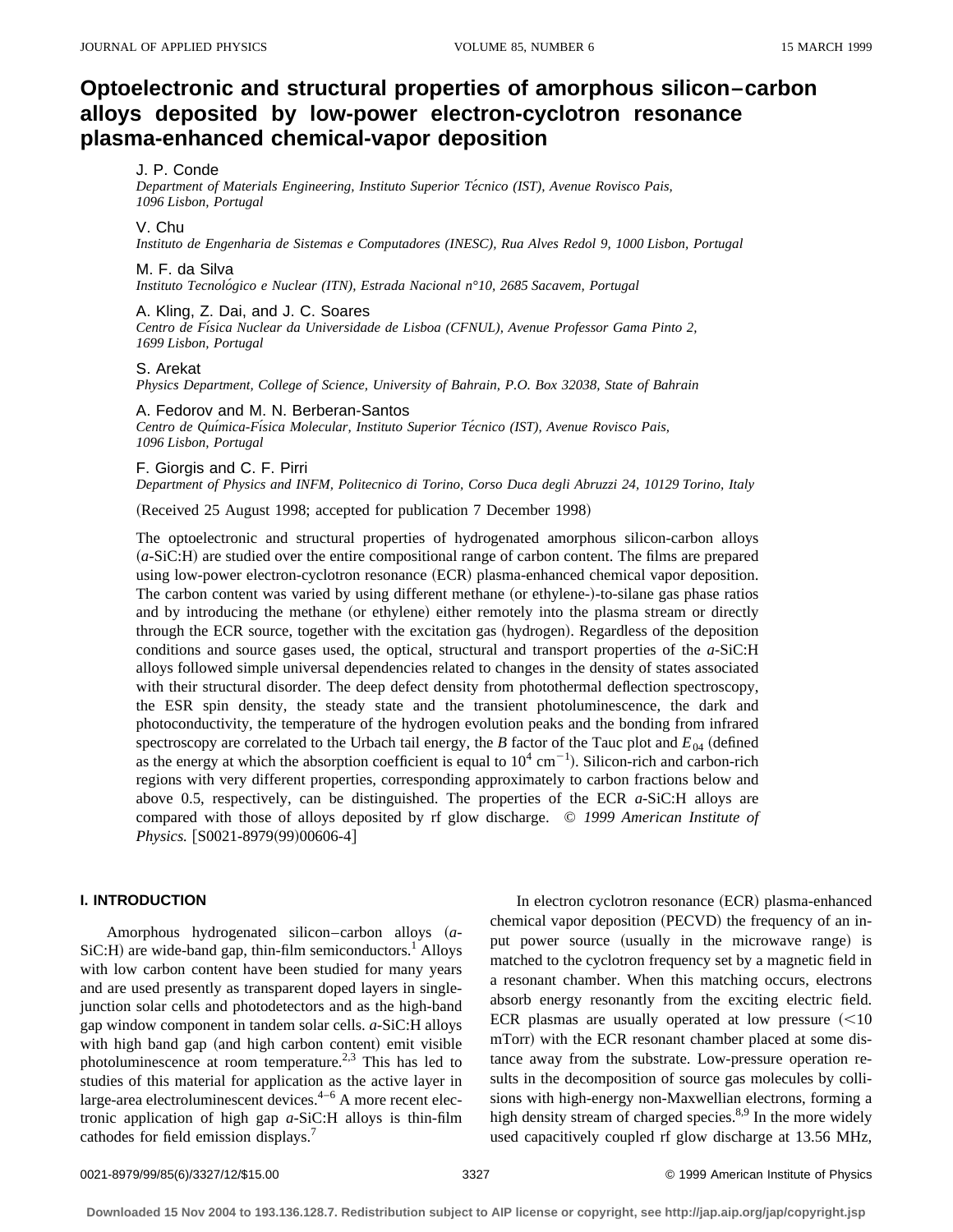# **Optoelectronic and structural properties of amorphous silicon–carbon alloys deposited by low-power electron-cyclotron resonance plasma-enhanced chemical-vapor deposition**

### J. P. Conde

*Department of Materials Engineering, Instituto Superior Te´cnico (IST), Avenue Rovisco Pais, 1096 Lisbon, Portugal*

### V. Chu

*Instituto de Engenharia de Sistemas e Computadores (INESC), Rua Alves Redol 9, 1000 Lisbon, Portugal*

#### M. F. da Silva

*Instituto Tecnolo´gico e Nuclear (ITN), Estrada Nacional n°10, 2685 Sacavem, Portugal*

### A. Kling, Z. Dai, and J. C. Soares

*Centro de Fı´sica Nuclear da Universidade de Lisboa (CFNUL), Avenue Professor Gama Pinto 2, 1699 Lisbon, Portugal*

### S. Arekat

*Physics Department, College of Science, University of Bahrain, P.O. Box 32038, State of Bahrain*

### A. Fedorov and M. N. Berberan-Santos

Centro de Química-Física Molecular, Instituto Superior Técnico (IST), Avenue Rovisco Pais, *1096 Lisbon, Portugal*

### F. Giorgis and C. F. Pirri

*Department of Physics and INFM, Politecnico di Torino, Corso Duca degli Abruzzi 24, 10129 Torino, Italy*

(Received 25 August 1998; accepted for publication 7 December 1998)

The optoelectronic and structural properties of hydrogenated amorphous silicon-carbon alloys  $(a-SiC:H)$  are studied over the entire compositional range of carbon content. The films are prepared using low-power electron-cyclotron resonance (ECR) plasma-enhanced chemical vapor deposition. The carbon content was varied by using different methane (or ethylene-)-to-silane gas phase ratios and by introducing the methane (or ethylene) either remotely into the plasma stream or directly through the ECR source, together with the excitation gas (hydrogen). Regardless of the deposition conditions and source gases used, the optical, structural and transport properties of the *a*-SiC:H alloys followed simple universal dependencies related to changes in the density of states associated with their structural disorder. The deep defect density from photothermal deflection spectroscopy, the ESR spin density, the steady state and the transient photoluminescence, the dark and photoconductivity, the temperature of the hydrogen evolution peaks and the bonding from infrared spectroscopy are correlated to the Urbach tail energy, the *B* factor of the Tauc plot and  $E_{04}$  (defined as the energy at which the absorption coefficient is equal to  $10^4 \text{ cm}^{-1}$ ). Silicon-rich and carbon-rich regions with very different properties, corresponding approximately to carbon fractions below and above 0.5, respectively, can be distinguished. The properties of the ECR *a*-SiC:H alloys are compared with those of alloys deposited by rf glow discharge. © *1999 American Institute of Physics.* [S0021-8979(99)00606-4]

### **I. INTRODUCTION**

Amorphous hydrogenated silicon–carbon alloys ~*a*- $SiC:H$ ) are wide-band gap, thin-film semiconductors.<sup>1</sup> Alloys with low carbon content have been studied for many years and are used presently as transparent doped layers in singlejunction solar cells and photodetectors and as the high-band gap window component in tandem solar cells. *a*-SiC:H alloys with high band gap (and high carbon content) emit visible photoluminescence at room temperature.2,3 This has led to studies of this material for application as the active layer in large-area electroluminescent devices.<sup>4–6</sup> A more recent electronic application of high gap *a*-SiC:H alloys is thin-film cathodes for field emission displays.<sup>7</sup>

In electron cyclotron resonance (ECR) plasma-enhanced chemical vapor deposition (PECVD) the frequency of an input power source (usually in the microwave range) is matched to the cyclotron frequency set by a magnetic field in a resonant chamber. When this matching occurs, electrons absorb energy resonantly from the exciting electric field. ECR plasmas are usually operated at low pressure  $(<10$ mTorr) with the ECR resonant chamber placed at some distance away from the substrate. Low-pressure operation results in the decomposition of source gas molecules by collisions with high-energy non-Maxwellian electrons, forming a high density stream of charged species.<sup>8,9</sup> In the more widely used capacitively coupled rf glow discharge at 13.56 MHz,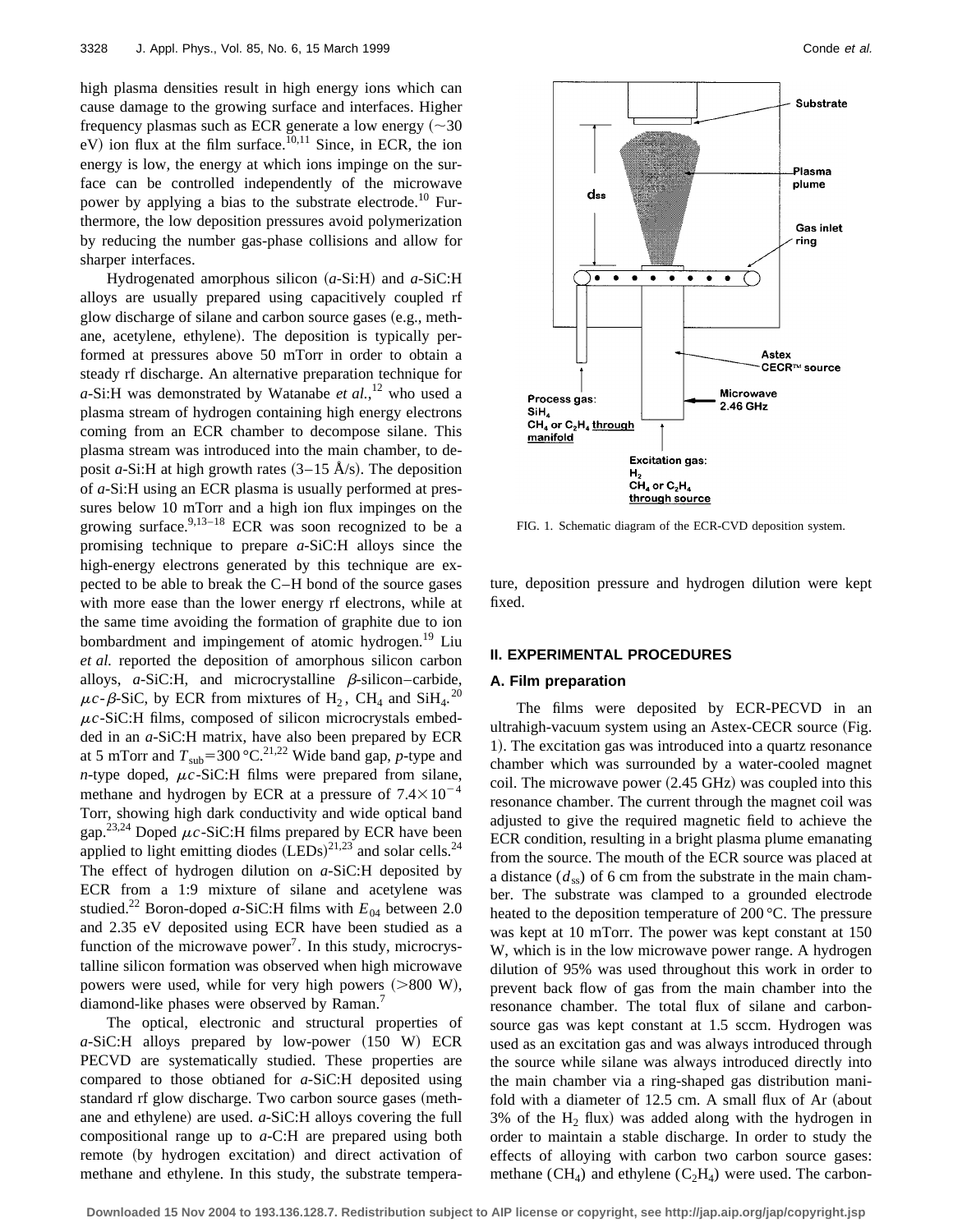high plasma densities result in high energy ions which can cause damage to the growing surface and interfaces. Higher frequency plasmas such as ECR generate a low energy  $(\sim 30$  $eV$ ) ion flux at the film surface.<sup>10,11</sup> Since, in ECR, the ion energy is low, the energy at which ions impinge on the surface can be controlled independently of the microwave power by applying a bias to the substrate electrode.<sup>10</sup> Furthermore, the low deposition pressures avoid polymerization by reducing the number gas-phase collisions and allow for sharper interfaces.

Hydrogenated amorphous silicon  $(a-Si:H)$  and  $a-SiC:H$ alloys are usually prepared using capacitively coupled rf glow discharge of silane and carbon source gases (e.g., methane, acetylene, ethylene). The deposition is typically performed at pressures above 50 mTorr in order to obtain a steady rf discharge. An alternative preparation technique for *a*-Si:H was demonstrated by Watanabe *et al.*, <sup>12</sup> who used a plasma stream of hydrogen containing high energy electrons coming from an ECR chamber to decompose silane. This plasma stream was introduced into the main chamber, to deposit *a*-Si:H at high growth rates  $(3-15 \text{ Å/s})$ . The deposition of *a*-Si:H using an ECR plasma is usually performed at pressures below 10 mTorr and a high ion flux impinges on the growing surface. $9,13-18$  ECR was soon recognized to be a promising technique to prepare *a*-SiC:H alloys since the high-energy electrons generated by this technique are expected to be able to break the C–H bond of the source gases with more ease than the lower energy rf electrons, while at the same time avoiding the formation of graphite due to ion bombardment and impingement of atomic hydrogen.<sup>19</sup> Liu *et al.* reported the deposition of amorphous silicon carbon alloys,  $a$ -SiC:H, and microcrystalline  $\beta$ -silicon–carbide,  $\mu$ *c*- $\beta$ -SiC, by ECR from mixtures of H<sub>2</sub>, CH<sub>4</sub> and SiH<sub>4</sub>.<sup>20</sup>  $\mu$ c-SiC:H films, composed of silicon microcrystals embedded in an *a*-SiC:H matrix, have also been prepared by ECR at 5 mTorr and  $T_{sub} = 300 \degree \text{C}^{21,22}$  Wide band gap, *p*-type and *n*-type doped,  $\mu c$ -SiC:H films were prepared from silane, methane and hydrogen by ECR at a pressure of  $7.4\times10^{-4}$ Torr, showing high dark conductivity and wide optical band gap.<sup>23,24</sup> Doped  $\mu c$ -SiC:H films prepared by ECR have been applied to light emitting diodes  $(LEDs)^{21,23}$  and solar cells.<sup>24</sup> The effect of hydrogen dilution on *a*-SiC:H deposited by ECR from a 1:9 mixture of silane and acetylene was studied.<sup>22</sup> Boron-doped *a*-SiC:H films with  $E_{04}$  between 2.0 and 2.35 eV deposited using ECR have been studied as a function of the microwave power<sup>7</sup>. In this study, microcrystalline silicon formation was observed when high microwave powers were used, while for very high powers  $(>800 \text{ W})$ , diamond-like phases were observed by Raman.<sup>7</sup>

The optical, electronic and structural properties of  $a\text{-SiC:H}$  alloys prepared by low-power  $(150 \text{ W})$  ECR PECVD are systematically studied. These properties are compared to those obtianed for *a*-SiC:H deposited using standard rf glow discharge. Two carbon source gases (methane and ethylene) are used. *a*-SiC:H alloys covering the full compositional range up to *a*-C:H are prepared using both remote (by hydrogen excitation) and direct activation of methane and ethylene. In this study, the substrate tempera-



FIG. 1. Schematic diagram of the ECR-CVD deposition system.

ture, deposition pressure and hydrogen dilution were kept fixed.

#### **II. EXPERIMENTAL PROCEDURES**

#### **A. Film preparation**

The films were deposited by ECR-PECVD in an ultrahigh-vacuum system using an Astex-CECR source (Fig. 1). The excitation gas was introduced into a quartz resonance chamber which was surrounded by a water-cooled magnet coil. The microwave power  $(2.45 \text{ GHz})$  was coupled into this resonance chamber. The current through the magnet coil was adjusted to give the required magnetic field to achieve the ECR condition, resulting in a bright plasma plume emanating from the source. The mouth of the ECR source was placed at a distance  $(d_{\rm ss})$  of 6 cm from the substrate in the main chamber. The substrate was clamped to a grounded electrode heated to the deposition temperature of 200 °C. The pressure was kept at 10 mTorr. The power was kept constant at 150 W, which is in the low microwave power range. A hydrogen dilution of 95% was used throughout this work in order to prevent back flow of gas from the main chamber into the resonance chamber. The total flux of silane and carbonsource gas was kept constant at 1.5 sccm. Hydrogen was used as an excitation gas and was always introduced through the source while silane was always introduced directly into the main chamber via a ring-shaped gas distribution manifold with a diameter of  $12.5$  cm. A small flux of Ar (about 3% of the  $H_2$  flux) was added along with the hydrogen in order to maintain a stable discharge. In order to study the effects of alloying with carbon two carbon source gases: methane  $(CH_4)$  and ethylene  $(C_2H_4)$  were used. The carbon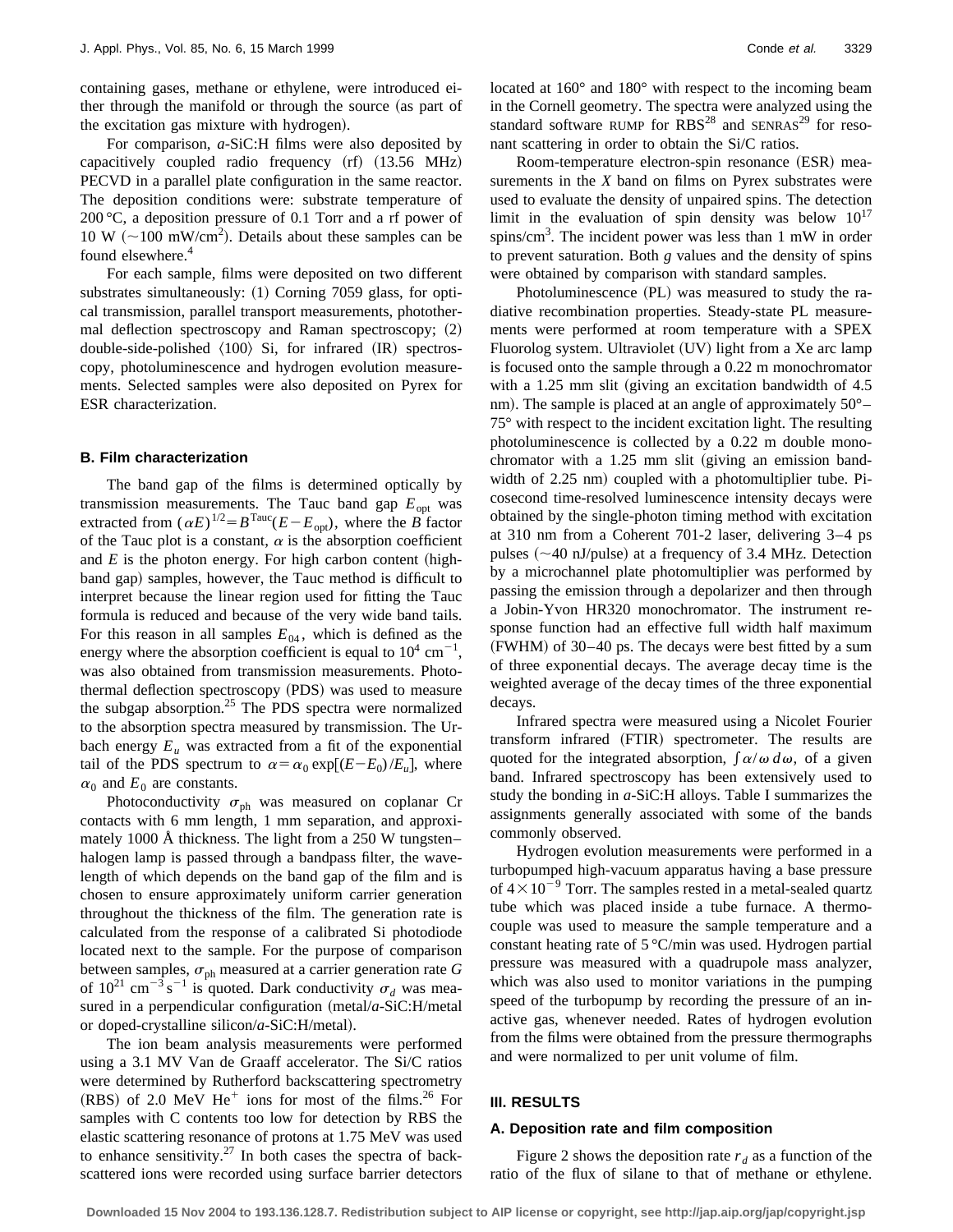containing gases, methane or ethylene, were introduced either through the manifold or through the source (as part of the excitation gas mixture with hydrogen).

For comparison, *a*-SiC:H films were also deposited by capacitively coupled radio frequency  $(rf)$   $(13.56$  MHz) PECVD in a parallel plate configuration in the same reactor. The deposition conditions were: substrate temperature of 200 °C, a deposition pressure of 0.1 Torr and a rf power of 10 W ( $\sim$ 100 mW/cm<sup>2</sup>). Details about these samples can be found elsewhere.<sup>4</sup>

For each sample, films were deposited on two different substrates simultaneously:  $(1)$  Corning 7059 glass, for optical transmission, parallel transport measurements, photothermal deflection spectroscopy and Raman spectroscopy;  $(2)$ double-side-polished  $\langle 100 \rangle$  Si, for infrared  $\langle IR \rangle$  spectroscopy, photoluminescence and hydrogen evolution measurements. Selected samples were also deposited on Pyrex for ESR characterization.

#### **B. Film characterization**

The band gap of the films is determined optically by transmission measurements. The Tauc band gap  $E_{opt}$  was extracted from  $(\alpha E)^{1/2} = B^{Tauc}(E - E_{\text{opt}})$ , where the *B* factor of the Tauc plot is a constant,  $\alpha$  is the absorption coefficient and  $E$  is the photon energy. For high carbon content (highband gap) samples, however, the Tauc method is difficult to interpret because the linear region used for fitting the Tauc formula is reduced and because of the very wide band tails. For this reason in all samples  $E_{04}$ , which is defined as the energy where the absorption coefficient is equal to  $10^4$  cm<sup>-1</sup>, was also obtained from transmission measurements. Photothermal deflection spectroscopy (PDS) was used to measure the subgap absorption.<sup>25</sup> The PDS spectra were normalized to the absorption spectra measured by transmission. The Urbach energy  $E_u$  was extracted from a fit of the exponential tail of the PDS spectrum to  $\alpha = \alpha_0 \exp[(E-E_0)/E_u]$ , where  $\alpha_0$  and  $E_0$  are constants.

Photoconductivity  $\sigma_{ph}$  was measured on coplanar Cr contacts with 6 mm length, 1 mm separation, and approximately 1000 Å thickness. The light from a 250 W tungsten– halogen lamp is passed through a bandpass filter, the wavelength of which depends on the band gap of the film and is chosen to ensure approximately uniform carrier generation throughout the thickness of the film. The generation rate is calculated from the response of a calibrated Si photodiode located next to the sample. For the purpose of comparison between samples,  $\sigma_{ph}$  measured at a carrier generation rate  $G$ of  $10^{21}$  cm<sup>-3</sup> s<sup>-1</sup> is quoted. Dark conductivity  $\sigma_d$  was measured in a perpendicular configuration  $(metal/a-SiC:H/metal)$ or doped-crystalline silicon/*a*-SiC:H/metal).

The ion beam analysis measurements were performed using a 3.1 MV Van de Graaff accelerator. The Si/C ratios were determined by Rutherford backscattering spectrometry (RBS) of 2.0 MeV He<sup>+</sup> ions for most of the films.<sup>26</sup> For samples with C contents too low for detection by RBS the elastic scattering resonance of protons at 1.75 MeV was used to enhance sensitivity.<sup>27</sup> In both cases the spectra of backscattered ions were recorded using surface barrier detectors located at 160° and 180° with respect to the incoming beam in the Cornell geometry. The spectra were analyzed using the standard software RUMP for  $RBS^{28}$  and SENRAS<sup>29</sup> for resonant scattering in order to obtain the Si/C ratios.

Room-temperature electron-spin resonance (ESR) measurements in the *X* band on films on Pyrex substrates were used to evaluate the density of unpaired spins. The detection limit in the evaluation of spin density was below  $10^{17}$ spins/ $\text{cm}^3$ . The incident power was less than 1 mW in order to prevent saturation. Both *g* values and the density of spins were obtained by comparison with standard samples.

Photoluminescence (PL) was measured to study the radiative recombination properties. Steady-state PL measurements were performed at room temperature with a SPEX Fluorolog system. Ultraviolet (UV) light from a Xe arc lamp is focused onto the sample through a 0.22 m monochromator with a  $1.25$  mm slit (giving an excitation bandwidth of  $4.5$ nm). The sample is placed at an angle of approximately  $50^{\circ}$ – 75° with respect to the incident excitation light. The resulting photoluminescence is collected by a 0.22 m double monochromator with a  $1.25$  mm slit (giving an emission bandwidth of 2.25 nm) coupled with a photomultiplier tube. Picosecond time-resolved luminescence intensity decays were obtained by the single-photon timing method with excitation at 310 nm from a Coherent 701-2 laser, delivering 3–4 ps pulses  $({\sim}40 \text{ nJ/pulse})$  at a frequency of 3.4 MHz. Detection by a microchannel plate photomultiplier was performed by passing the emission through a depolarizer and then through a Jobin-Yvon HR320 monochromator. The instrument response function had an effective full width half maximum  $(FWHM)$  of 30–40 ps. The decays were best fitted by a sum of three exponential decays. The average decay time is the weighted average of the decay times of the three exponential decays.

Infrared spectra were measured using a Nicolet Fourier transform infrared (FTIR) spectrometer. The results are quoted for the integrated absorption,  $\int \alpha/\omega \, d\omega$ , of a given band. Infrared spectroscopy has been extensively used to study the bonding in *a*-SiC:H alloys. Table I summarizes the assignments generally associated with some of the bands commonly observed.

Hydrogen evolution measurements were performed in a turbopumped high-vacuum apparatus having a base pressure of  $4\times10^{-9}$  Torr. The samples rested in a metal-sealed quartz tube which was placed inside a tube furnace. A thermocouple was used to measure the sample temperature and a constant heating rate of 5 °C/min was used. Hydrogen partial pressure was measured with a quadrupole mass analyzer, which was also used to monitor variations in the pumping speed of the turbopump by recording the pressure of an inactive gas, whenever needed. Rates of hydrogen evolution from the films were obtained from the pressure thermographs and were normalized to per unit volume of film.

### **III. RESULTS**

### **A. Deposition rate and film composition**

Figure 2 shows the deposition rate  $r_d$  as a function of the ratio of the flux of silane to that of methane or ethylene.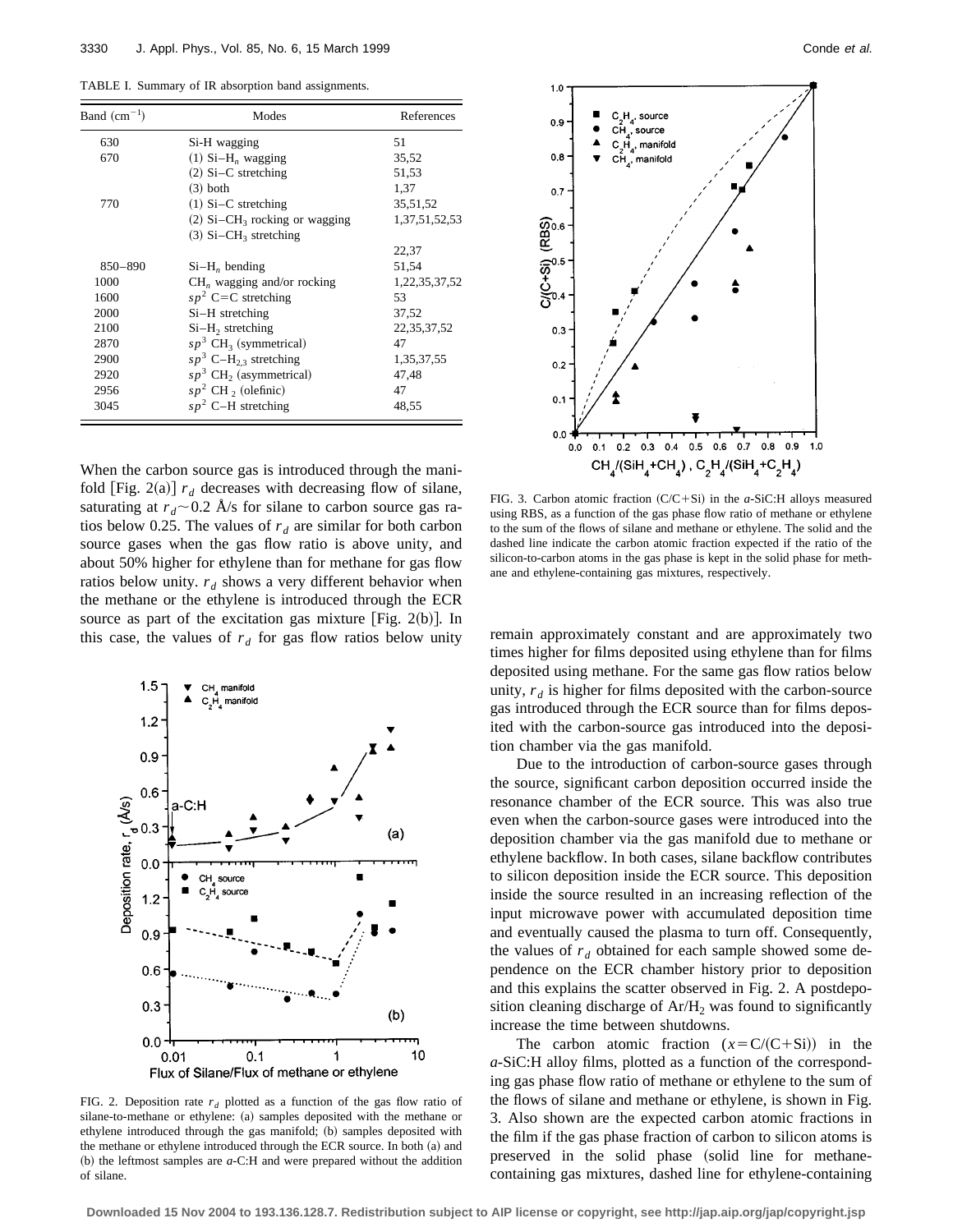TABLE I. Summary of IR absorption band assignments.

| Band $(cm-1)$ | Modes                                       | References     |
|---------------|---------------------------------------------|----------------|
| 630           | Si-H wagging                                | 51             |
| 670           | $(1)$ Si-H <sub>n</sub> wagging             | 35,52          |
|               | $(2)$ Si–C stretching                       | 51,53          |
|               | $(3)$ both                                  | 1,37           |
| 770           | $(1)$ Si–C stretching                       | 35,51,52       |
|               | $(2)$ Si–CH <sub>3</sub> rocking or wagging | 1,37,51,52,53  |
|               | $(3)$ Si-CH <sub>3</sub> stretching         |                |
|               |                                             | 22,37          |
| 850-890       | $Si-H_n$ bending                            | 51,54          |
| 1000          | $CHn$ wagging and/or rocking                | 1,22,35,37,52  |
| 1600          | $sp2$ C=C stretching                        | 53             |
| 2000          | $Si-H$ stretching                           | 37,52          |
| 2100          | $Si-H2$ stretching                          | 22, 35, 37, 52 |
| 2870          | $sp^3$ CH <sub>3</sub> (symmetrical)        | 47             |
| 2900          | $sp^3$ C-H <sub>2.3</sub> stretching        | 1,35,37,55     |
| 2920          | $sp^3$ CH <sub>2</sub> (asymmetrical)       | 47,48          |
| 2956          | $sp2$ CH $2$ (olefinic)                     | 47             |
| 3045          | $sp2$ C-H stretching                        | 48,55          |

When the carbon source gas is introduced through the manifold [Fig. 2(a)]  $r_d$  decreases with decreasing flow of silane, saturating at  $r_d \sim 0.2$  Å/s for silane to carbon source gas ratios below 0.25. The values of  $r_d$  are similar for both carbon source gases when the gas flow ratio is above unity, and about 50% higher for ethylene than for methane for gas flow ratios below unity.  $r_d$  shows a very different behavior when the methane or the ethylene is introduced through the ECR source as part of the excitation gas mixture [Fig. 2(b)]. In this case, the values of  $r_d$  for gas flow ratios below unity remain approximately constant and are approximately two



FIG. 2. Deposition rate  $r_d$  plotted as a function of the gas flow ratio of silane-to-methane or ethylene: (a) samples deposited with the methane or ethylene introduced through the gas manifold; (b) samples deposited with the methane or ethylene introduced through the ECR source. In both (a) and (b) the leftmost samples are  $a$ -C:H and were prepared without the addition of silane.



FIG. 3. Carbon atomic fraction  $(C/C+Si)$  in the *a*-SiC:H alloys measured using RBS, as a function of the gas phase flow ratio of methane or ethylene to the sum of the flows of silane and methane or ethylene. The solid and the dashed line indicate the carbon atomic fraction expected if the ratio of the silicon-to-carbon atoms in the gas phase is kept in the solid phase for methane and ethylene-containing gas mixtures, respectively.

times higher for films deposited using ethylene than for films deposited using methane. For the same gas flow ratios below unity,  $r_d$  is higher for films deposited with the carbon-source gas introduced through the ECR source than for films deposited with the carbon-source gas introduced into the deposition chamber via the gas manifold.

Due to the introduction of carbon-source gases through the source, significant carbon deposition occurred inside the resonance chamber of the ECR source. This was also true even when the carbon-source gases were introduced into the deposition chamber via the gas manifold due to methane or ethylene backflow. In both cases, silane backflow contributes to silicon deposition inside the ECR source. This deposition inside the source resulted in an increasing reflection of the input microwave power with accumulated deposition time and eventually caused the plasma to turn off. Consequently, the values of  $r<sub>d</sub>$  obtained for each sample showed some dependence on the ECR chamber history prior to deposition and this explains the scatter observed in Fig. 2. A postdeposition cleaning discharge of  $Ar/H<sub>2</sub>$  was found to significantly increase the time between shutdowns.

The carbon atomic fraction  $(x = C/(C+Si))$  in the *a*-SiC:H alloy films, plotted as a function of the corresponding gas phase flow ratio of methane or ethylene to the sum of the flows of silane and methane or ethylene, is shown in Fig. 3. Also shown are the expected carbon atomic fractions in the film if the gas phase fraction of carbon to silicon atoms is preserved in the solid phase (solid line for methanecontaining gas mixtures, dashed line for ethylene-containing

**Downloaded 15 Nov 2004 to 193.136.128.7. Redistribution subject to AIP license or copyright, see http://jap.aip.org/jap/copyright.jsp**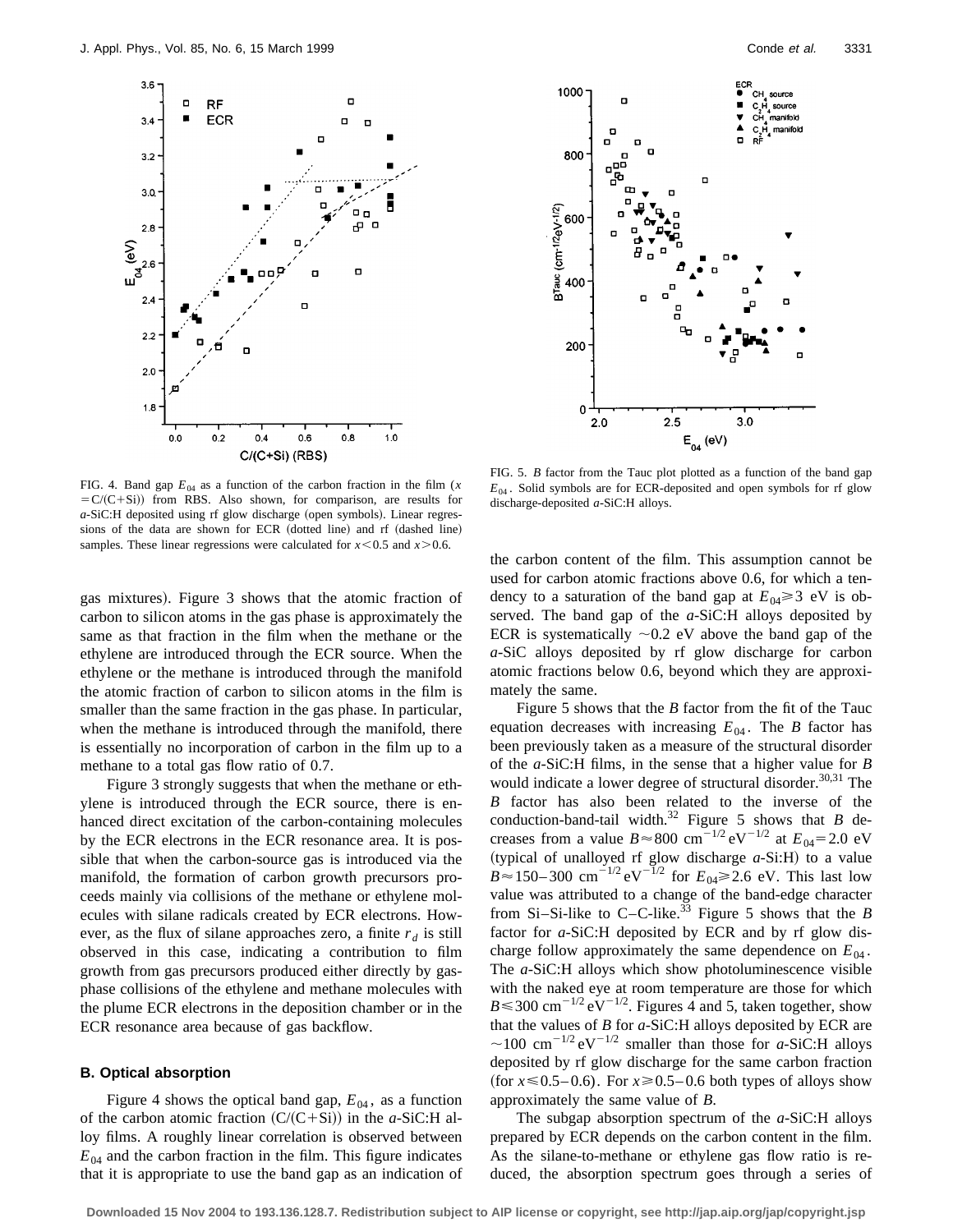



FIG. 4. Band gap  $E_{04}$  as a function of the carbon fraction in the film (*x*  $= C/(C+Si)$ ) from RBS. Also shown, for comparison, are results for *a*-SiC:H deposited using rf glow discharge (open symbols). Linear regressions of the data are shown for ECR (dotted line) and rf (dashed line) samples. These linear regressions were calculated for  $x \le 0.5$  and  $x \ge 0.6$ .

gas mixtures). Figure 3 shows that the atomic fraction of carbon to silicon atoms in the gas phase is approximately the same as that fraction in the film when the methane or the ethylene are introduced through the ECR source. When the ethylene or the methane is introduced through the manifold the atomic fraction of carbon to silicon atoms in the film is smaller than the same fraction in the gas phase. In particular, when the methane is introduced through the manifold, there is essentially no incorporation of carbon in the film up to a methane to a total gas flow ratio of 0.7.

Figure 3 strongly suggests that when the methane or ethylene is introduced through the ECR source, there is enhanced direct excitation of the carbon-containing molecules by the ECR electrons in the ECR resonance area. It is possible that when the carbon-source gas is introduced via the manifold, the formation of carbon growth precursors proceeds mainly via collisions of the methane or ethylene molecules with silane radicals created by ECR electrons. However, as the flux of silane approaches zero, a finite  $r<sub>d</sub>$  is still observed in this case, indicating a contribution to film growth from gas precursors produced either directly by gasphase collisions of the ethylene and methane molecules with the plume ECR electrons in the deposition chamber or in the ECR resonance area because of gas backflow.

### **B. Optical absorption**

Figure 4 shows the optical band gap,  $E_{04}$ , as a function of the carbon atomic fraction  $(C/(C+Si))$  in the *a*-SiC:H alloy films. A roughly linear correlation is observed between  $E_{04}$  and the carbon fraction in the film. This figure indicates that it is appropriate to use the band gap as an indication of

FIG. 5. *B* factor from the Tauc plot plotted as a function of the band gap  $E_{04}$ . Solid symbols are for ECR-deposited and open symbols for rf glow discharge-deposited *a*-SiC:H alloys.

the carbon content of the film. This assumption cannot be used for carbon atomic fractions above 0.6, for which a tendency to a saturation of the band gap at  $E_{04} \ge 3$  eV is observed. The band gap of the *a*-SiC:H alloys deposited by ECR is systematically  $\sim 0.2$  eV above the band gap of the *a*-SiC alloys deposited by rf glow discharge for carbon atomic fractions below 0.6, beyond which they are approximately the same.

Figure 5 shows that the *B* factor from the fit of the Tauc equation decreases with increasing  $E_{04}$ . The *B* factor has been previously taken as a measure of the structural disorder of the *a*-SiC:H films, in the sense that a higher value for *B* would indicate a lower degree of structural disorder.<sup>30,31</sup> The *B* factor has also been related to the inverse of the conduction-band-tail width.<sup>32</sup> Figure 5 shows that *B* decreases from a value  $B \approx 800 \text{ cm}^{-1/2} \text{ eV}^{-1/2}$  at  $E_{04} = 2.0 \text{ eV}$ (typical of unalloyed rf glow discharge  $a$ -Si:H) to a value  $B \approx 150-300 \text{ cm}^{-1/2} \text{ eV}^{-1/2}$  for  $E_{04} \ge 2.6 \text{ eV}$ . This last low value was attributed to a change of the band-edge character from Si–Si-like to C–C-like.<sup>33</sup> Figure 5 shows that the *B* factor for *a*-SiC:H deposited by ECR and by rf glow discharge follow approximately the same dependence on  $E_{04}$ . The *a*-SiC:H alloys which show photoluminescence visible with the naked eye at room temperature are those for which  $B \le 300 \text{ cm}^{-1/2} \text{ eV}^{-1/2}$ . Figures 4 and 5, taken together, show that the values of *B* for *a*-SiC:H alloys deposited by ECR are  $\sim$ 100 cm<sup>-1/2</sup> eV<sup>-1/2</sup> smaller than those for *a*-SiC:H alloys deposited by rf glow discharge for the same carbon fraction (for  $x \le 0.5-0.6$ ). For  $x \ge 0.5-0.6$  both types of alloys show approximately the same value of *B*.

The subgap absorption spectrum of the *a*-SiC:H alloys prepared by ECR depends on the carbon content in the film. As the silane-to-methane or ethylene gas flow ratio is reduced, the absorption spectrum goes through a series of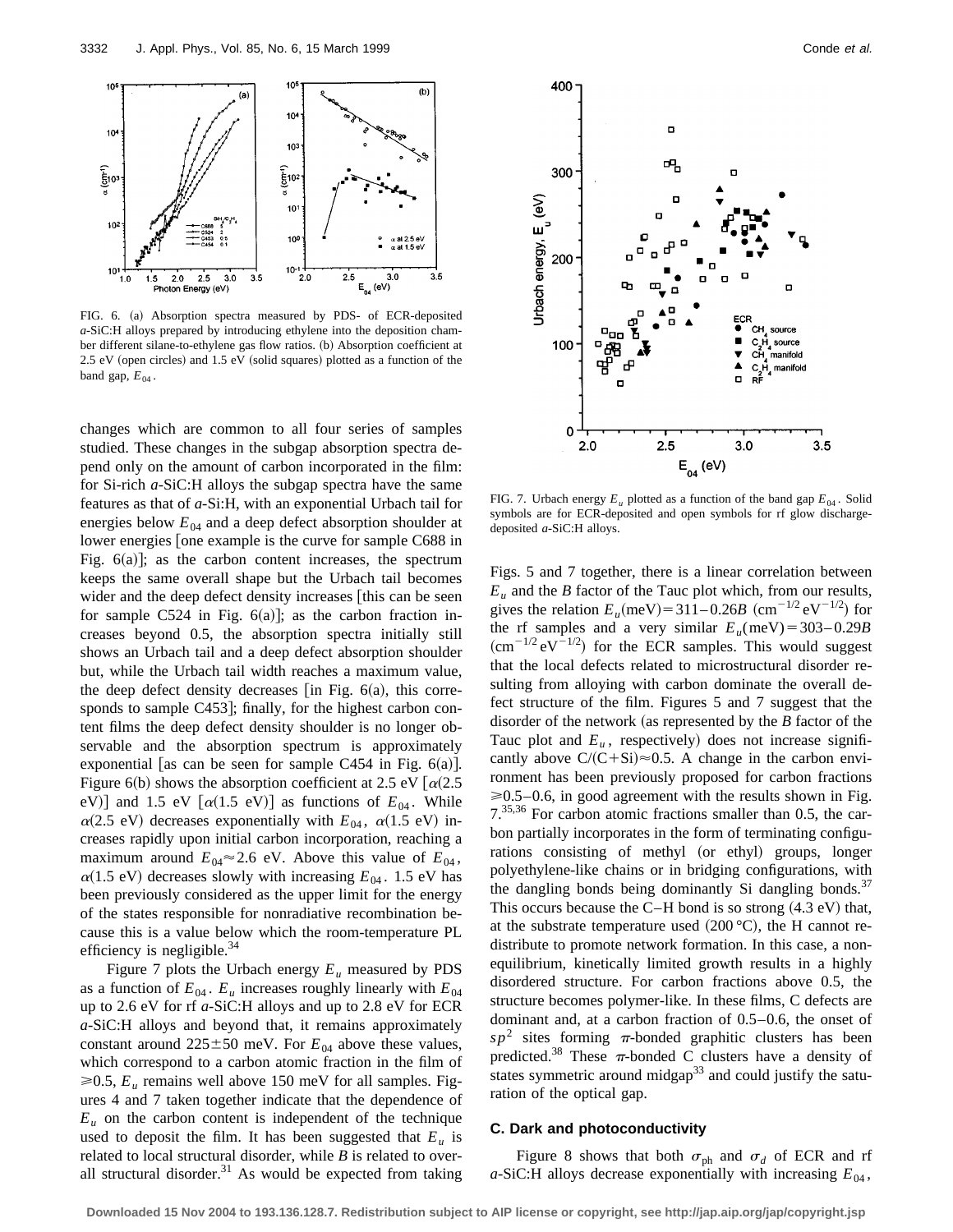

FIG. 6. (a) Absorption spectra measured by PDS- of ECR-deposited *a*-SiC:H alloys prepared by introducing ethylene into the deposition chamber different silane-to-ethylene gas flow ratios. (b) Absorption coefficient at  $2.5$  eV (open circles) and  $1.5$  eV (solid squares) plotted as a function of the band gap,  $E_{04}$ .

changes which are common to all four series of samples studied. These changes in the subgap absorption spectra depend only on the amount of carbon incorporated in the film: for Si-rich *a*-SiC:H alloys the subgap spectra have the same features as that of *a*-Si:H, with an exponential Urbach tail for energies below  $E_{04}$  and a deep defect absorption shoulder at lower energies [one example is the curve for sample C688 in Fig.  $6(a)$ ]; as the carbon content increases, the spectrum keeps the same overall shape but the Urbach tail becomes wider and the deep defect density increases [this can be seen for sample C524 in Fig.  $6(a)$ ; as the carbon fraction increases beyond 0.5, the absorption spectra initially still shows an Urbach tail and a deep defect absorption shoulder but, while the Urbach tail width reaches a maximum value, the deep defect density decreases  $\left[$  in Fig. 6(a), this corresponds to sample C453]; finally, for the highest carbon content films the deep defect density shoulder is no longer observable and the absorption spectrum is approximately exponential [as can be seen for sample C454 in Fig.  $6(a)$ ]. Figure 6(b) shows the absorption coefficient at 2.5 eV  $\alpha$ (2.5 eV)] and 1.5 eV  $[\alpha(1.5 \text{ eV})]$  as functions of  $E_{04}$ . While  $\alpha$ (2.5 eV) decreases exponentially with  $E_{04}$ ,  $\alpha$ (1.5 eV) increases rapidly upon initial carbon incorporation, reaching a maximum around  $E_{04} \approx 2.6$  eV. Above this value of  $E_{04}$ ,  $\alpha$ (1.5 eV) decreases slowly with increasing  $E_{04}$ . 1.5 eV has been previously considered as the upper limit for the energy of the states responsible for nonradiative recombination because this is a value below which the room-temperature PL efficiency is negligible. $34$ 

Figure 7 plots the Urbach energy  $E_u$  measured by PDS as a function of  $E_{04}$ .  $E_u$  increases roughly linearly with  $E_{04}$ up to 2.6 eV for rf *a*-SiC:H alloys and up to 2.8 eV for ECR *a*-SiC:H alloys and beyond that, it remains approximately constant around  $225 \pm 50$  meV. For  $E_{04}$  above these values, which correspond to a carbon atomic fraction in the film of  $\geq 0.5$ ,  $E_u$  remains well above 150 meV for all samples. Figures 4 and 7 taken together indicate that the dependence of  $E<sub>u</sub>$  on the carbon content is independent of the technique used to deposit the film. It has been suggested that  $E_u$  is related to local structural disorder, while *B* is related to overall structural disorder. $31$  As would be expected from taking



FIG. 7. Urbach energy  $E_u$  plotted as a function of the band gap  $E_{04}$ . Solid symbols are for ECR-deposited and open symbols for rf glow dischargedeposited *a*-SiC:H alloys.

Figs. 5 and 7 together, there is a linear correlation between  $E_u$  and the *B* factor of the Tauc plot which, from our results, gives the relation  $E_u$ (meV) = 311–0.26*B* (cm<sup>-1/2</sup> eV<sup>-1/2</sup>) for the rf samples and a very similar  $E_u$ (meV) = 303–0.29*B*  $~(\text{cm}^{-1/2} \text{ eV}^{-1/2})$  for the ECR samples. This would suggest that the local defects related to microstructural disorder resulting from alloying with carbon dominate the overall defect structure of the film. Figures 5 and 7 suggest that the disorder of the network (as represented by the  $B$  factor of the Tauc plot and  $E_u$ , respectively) does not increase significantly above  $C/(C+Si) \approx 0.5$ . A change in the carbon environment has been previously proposed for carbon fractions  $\geq 0.5-0.6$ , in good agreement with the results shown in Fig. 7.35,36 For carbon atomic fractions smaller than 0.5, the carbon partially incorporates in the form of terminating configurations consisting of methyl (or ethyl) groups, longer polyethylene-like chains or in bridging configurations, with the dangling bonds being dominantly Si dangling bonds.<sup>37</sup> This occurs because the C–H bond is so strong  $(4.3 \text{ eV})$  that, at the substrate temperature used  $(200 °C)$ , the H cannot redistribute to promote network formation. In this case, a nonequilibrium, kinetically limited growth results in a highly disordered structure. For carbon fractions above 0.5, the structure becomes polymer-like. In these films, C defects are dominant and, at a carbon fraction of 0.5–0.6, the onset of  $s p<sup>2</sup>$  sites forming  $\pi$ -bonded graphitic clusters has been predicted.<sup>38</sup> These  $\pi$ -bonded C clusters have a density of states symmetric around midgap<sup>33</sup> and could justify the saturation of the optical gap.

### **C. Dark and photoconductivity**

Figure 8 shows that both  $\sigma_{ph}$  and  $\sigma_d$  of ECR and rf  $a$ -SiC:H alloys decrease exponentially with increasing  $E_{04}$ ,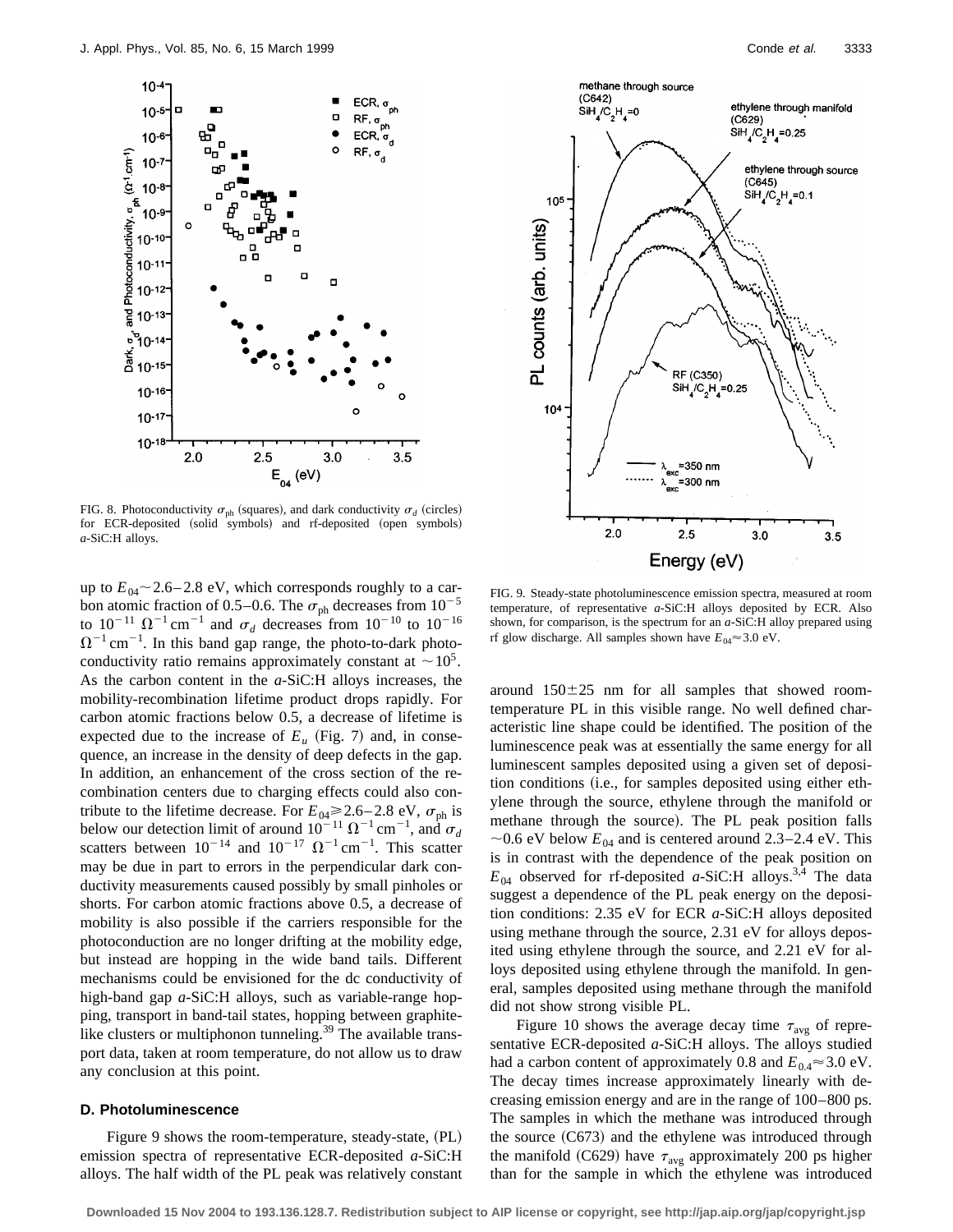

FIG. 8. Photoconductivity  $\sigma_{ph}$  (squares), and dark conductivity  $\sigma_d$  (circles) for ECR-deposited (solid symbols) and rf-deposited (open symbols) *a*-SiC:H alloys.

up to  $E_{04}$  ~ 2.6–2.8 eV, which corresponds roughly to a carbon atomic fraction of 0.5–0.6. The  $\sigma_{ph}$  decreases from  $10^{-5}$ to  $10^{-11} \Omega^{-1}$  cm<sup>-1</sup> and  $\sigma_d$  decreases from  $10^{-10}$  to  $10^{-16}$  $\Omega^{-1}$  cm<sup>-1</sup>. In this band gap range, the photo-to-dark photoconductivity ratio remains approximately constant at  $\sim 10^5$ . As the carbon content in the *a*-SiC:H alloys increases, the mobility-recombination lifetime product drops rapidly. For carbon atomic fractions below 0.5, a decrease of lifetime is expected due to the increase of  $E_u$  (Fig. 7) and, in consequence, an increase in the density of deep defects in the gap. In addition, an enhancement of the cross section of the recombination centers due to charging effects could also contribute to the lifetime decrease. For  $E_{04} \ge 2.6 - 2.8 \text{ eV}$ ,  $\sigma_{\text{ph}}$  is below our detection limit of around  $10^{-11} \Omega^{-1}$  cm<sup>-1</sup>, and  $\sigma_d$ scatters between  $10^{-14}$  and  $10^{-17} \Omega^{-1}$  cm<sup>-1</sup>. This scatter may be due in part to errors in the perpendicular dark conductivity measurements caused possibly by small pinholes or shorts. For carbon atomic fractions above 0.5, a decrease of mobility is also possible if the carriers responsible for the photoconduction are no longer drifting at the mobility edge, but instead are hopping in the wide band tails. Different mechanisms could be envisioned for the dc conductivity of high-band gap *a*-SiC:H alloys, such as variable-range hopping, transport in band-tail states, hopping between graphitelike clusters or multiphonon tunneling. $39$  The available transport data, taken at room temperature, do not allow us to draw any conclusion at this point.

### **D. Photoluminescence**

Figure 9 shows the room-temperature, steady-state,  $(PL)$ emission spectra of representative ECR-deposited *a*-SiC:H alloys. The half width of the PL peak was relatively constant



FIG. 9. Steady-state photoluminescence emission spectra, measured at room temperature, of representative *a*-SiC:H alloys deposited by ECR. Also shown, for comparison, is the spectrum for an *a*-SiC:H alloy prepared using rf glow discharge. All samples shown have  $E_{04} \approx 3.0 \text{ eV}$ .

around  $150\pm25$  nm for all samples that showed roomtemperature PL in this visible range. No well defined characteristic line shape could be identified. The position of the luminescence peak was at essentially the same energy for all luminescent samples deposited using a given set of deposition conditions (i.e., for samples deposited using either ethylene through the source, ethylene through the manifold or methane through the source). The PL peak position falls  $\sim$ 0.6 eV below  $E_{04}$  and is centered around 2.3–2.4 eV. This is in contrast with the dependence of the peak position on  $E_{04}$  observed for rf-deposited *a*-SiC:H alloys.<sup>3,4</sup> The data suggest a dependence of the PL peak energy on the deposition conditions: 2.35 eV for ECR *a*-SiC:H alloys deposited using methane through the source, 2.31 eV for alloys deposited using ethylene through the source, and 2.21 eV for alloys deposited using ethylene through the manifold. In general, samples deposited using methane through the manifold did not show strong visible PL.

Figure 10 shows the average decay time  $\tau_{\text{avg}}$  of representative ECR-deposited *a*-SiC:H alloys. The alloys studied had a carbon content of approximately 0.8 and  $E_{0.4} \approx 3.0 \text{ eV}$ . The decay times increase approximately linearly with decreasing emission energy and are in the range of 100–800 ps. The samples in which the methane was introduced through the source  $(C673)$  and the ethylene was introduced through the manifold (C629) have  $\tau_{\text{avg}}$  approximately 200 ps higher than for the sample in which the ethylene was introduced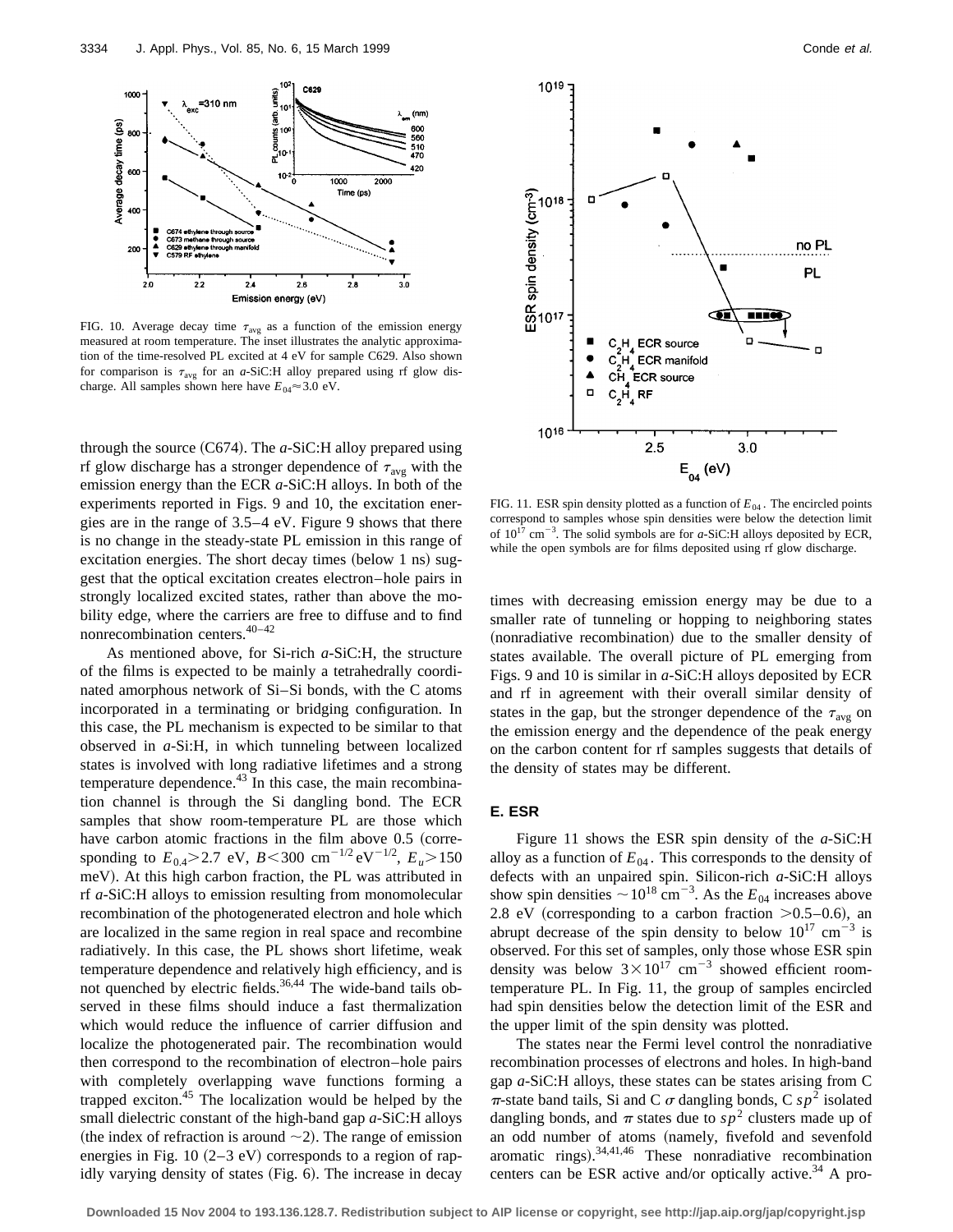

FIG. 10. Average decay time  $\tau_{avg}$  as a function of the emission energy measured at room temperature. The inset illustrates the analytic approximation of the time-resolved PL excited at 4 eV for sample C629. Also shown for comparison is  $\tau_{\text{avg}}$  for an *a*-SiC:H alloy prepared using rf glow discharge. All samples shown here have  $E_{04} \approx 3.0 \text{ eV}$ .

through the source (C674). The *a*-SiC:H alloy prepared using rf glow discharge has a stronger dependence of  $\tau_{\text{avg}}$  with the emission energy than the ECR *a*-SiC:H alloys. In both of the experiments reported in Figs. 9 and 10, the excitation energies are in the range of 3.5–4 eV. Figure 9 shows that there is no change in the steady-state PL emission in this range of excitation energies. The short decay times (below 1 ns) suggest that the optical excitation creates electron–hole pairs in strongly localized excited states, rather than above the mobility edge, where the carriers are free to diffuse and to find nonrecombination centers.40–42

As mentioned above, for Si-rich *a*-SiC:H, the structure of the films is expected to be mainly a tetrahedrally coordinated amorphous network of Si–Si bonds, with the C atoms incorporated in a terminating or bridging configuration. In this case, the PL mechanism is expected to be similar to that observed in *a*-Si:H, in which tunneling between localized states is involved with long radiative lifetimes and a strong temperature dependence. $43$  In this case, the main recombination channel is through the Si dangling bond. The ECR samples that show room-temperature PL are those which have carbon atomic fractions in the film above  $0.5$  (corresponding to  $E_{0.4}$ >2.7 eV, *B*<300 cm<sup>-1/2</sup> eV<sup>-1/2</sup>,  $E_u$ >150 meV). At this high carbon fraction, the PL was attributed in rf *a*-SiC:H alloys to emission resulting from monomolecular recombination of the photogenerated electron and hole which are localized in the same region in real space and recombine radiatively. In this case, the PL shows short lifetime, weak temperature dependence and relatively high efficiency, and is not quenched by electric fields.<sup>36,44</sup> The wide-band tails observed in these films should induce a fast thermalization which would reduce the influence of carrier diffusion and localize the photogenerated pair. The recombination would then correspond to the recombination of electron–hole pairs with completely overlapping wave functions forming a trapped exciton. $45$  The localization would be helped by the small dielectric constant of the high-band gap *a*-SiC:H alloys (the index of refraction is around  $\sim$ 2). The range of emission energies in Fig. 10  $(2-3$  eV) corresponds to a region of rapidly varying density of states  $(Fig. 6)$ . The increase in decay



FIG. 11. ESR spin density plotted as a function of  $E_{04}$ . The encircled points correspond to samples whose spin densities were below the detection limit of  $10^{17}$  cm<sup>-3</sup>. The solid symbols are for *a*-SiC:H alloys deposited by ECR, while the open symbols are for films deposited using rf glow discharge.

times with decreasing emission energy may be due to a smaller rate of tunneling or hopping to neighboring states (nonradiative recombination) due to the smaller density of states available. The overall picture of PL emerging from Figs. 9 and 10 is similar in *a*-SiC:H alloys deposited by ECR and rf in agreement with their overall similar density of states in the gap, but the stronger dependence of the  $\tau_{\text{avg}}$  on the emission energy and the dependence of the peak energy on the carbon content for rf samples suggests that details of the density of states may be different.

## **E. ESR**

Figure 11 shows the ESR spin density of the *a*-SiC:H alloy as a function of  $E_{04}$ . This corresponds to the density of defects with an unpaired spin. Silicon-rich *a*-SiC:H alloys show spin densities  $\sim 10^{18}$  cm<sup>-3</sup>. As the  $E_{04}$  increases above 2.8 eV (corresponding to a carbon fraction  $>0.5-0.6$ ), an abrupt decrease of the spin density to below  $10^{17}$  cm<sup>-3</sup> is observed. For this set of samples, only those whose ESR spin density was below  $3\times10^{17}$  cm<sup>-3</sup> showed efficient roomtemperature PL. In Fig. 11, the group of samples encircled had spin densities below the detection limit of the ESR and the upper limit of the spin density was plotted.

The states near the Fermi level control the nonradiative recombination processes of electrons and holes. In high-band gap *a*-SiC:H alloys, these states can be states arising from C  $\pi$ -state band tails, Si and C  $\sigma$  dangling bonds, C  $sp^2$  isolated dangling bonds, and  $\pi$  states due to  $sp^2$  clusters made up of an odd number of atoms (namely, fivefold and sevenfold aromatic rings). $34,41,46$  These nonradiative recombination centers can be ESR active and/or optically active.<sup>34</sup> A pro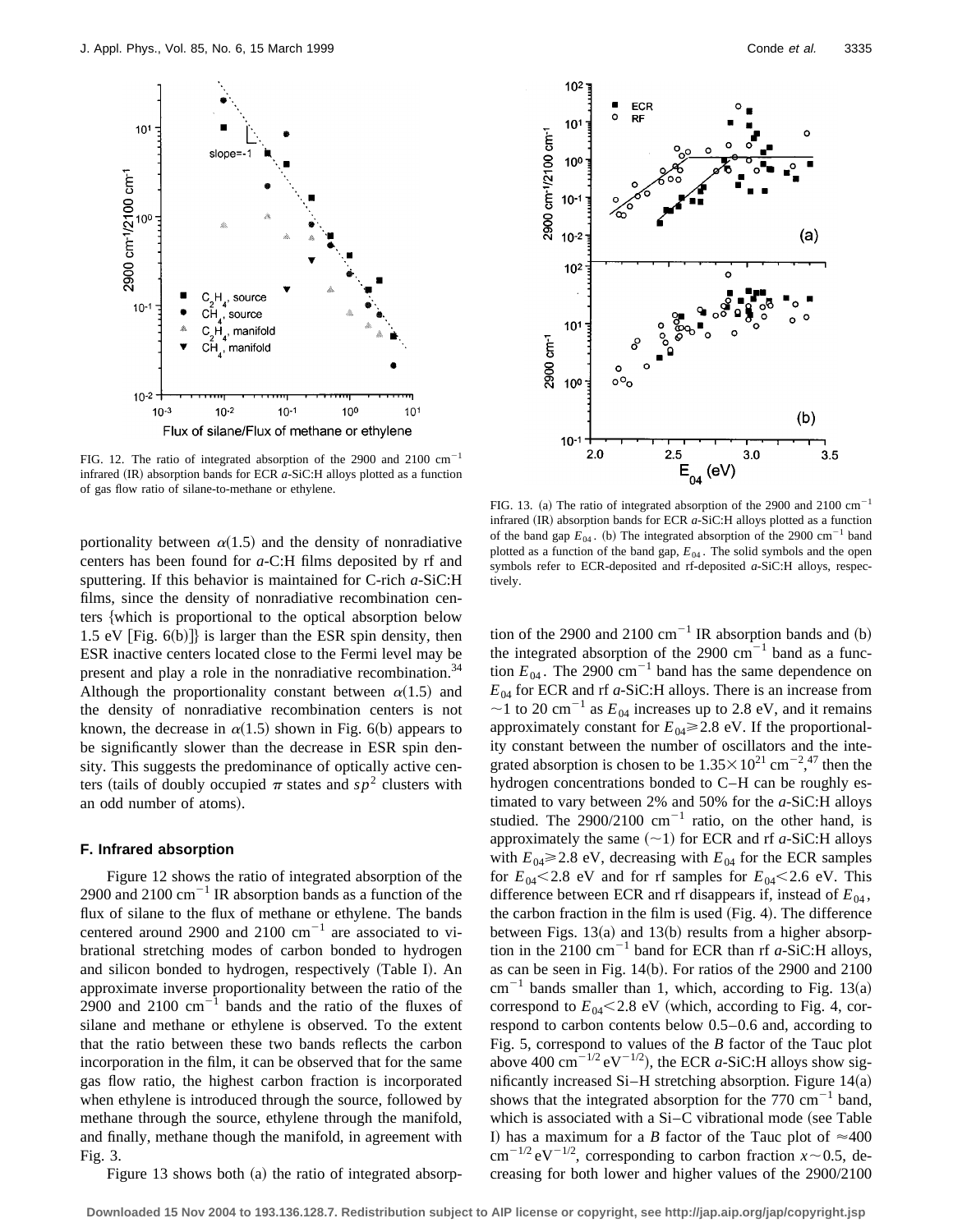slone

 $10<sup>1</sup>$ 



FIG. 12. The ratio of integrated absorption of the 2900 and 2100  $cm^{-1}$ infrared  $(IR)$  absorption bands for ECR  $a$ -SiC:H alloys plotted as a function of gas flow ratio of silane-to-methane or ethylene.

portionality between  $\alpha(1.5)$  and the density of nonradiative centers has been found for *a*-C:H films deposited by rf and sputtering. If this behavior is maintained for C-rich *a*-SiC:H films, since the density of nonradiative recombination centers {which is proportional to the optical absorption below 1.5 eV  $\lceil$  Fig. 6(b) $\rceil$  is larger than the ESR spin density, then ESR inactive centers located close to the Fermi level may be present and play a role in the nonradiative recombination.<sup>34</sup> Although the proportionality constant between  $\alpha(1.5)$  and the density of nonradiative recombination centers is not known, the decrease in  $\alpha(1.5)$  shown in Fig. 6(b) appears to be significantly slower than the decrease in ESR spin density. This suggests the predominance of optically active centers (tails of doubly occupied  $\pi$  states and  $sp^2$  clusters with an odd number of atoms).

### **F. Infrared absorption**

Figure 12 shows the ratio of integrated absorption of the 2900 and 2100  $\text{cm}^{-1}$  IR absorption bands as a function of the flux of silane to the flux of methane or ethylene. The bands centered around 2900 and 2100  $cm^{-1}$  are associated to vibrational stretching modes of carbon bonded to hydrogen and silicon bonded to hydrogen, respectively (Table I). An approximate inverse proportionality between the ratio of the 2900 and 2100  $\text{cm}^{-1}$  bands and the ratio of the fluxes of silane and methane or ethylene is observed. To the extent that the ratio between these two bands reflects the carbon incorporation in the film, it can be observed that for the same gas flow ratio, the highest carbon fraction is incorporated when ethylene is introduced through the source, followed by methane through the source, ethylene through the manifold, and finally, methane though the manifold, in agreement with Fig. 3.

Figure 13 shows both  $(a)$  the ratio of integrated absorp-



FIG. 13. (a) The ratio of integrated absorption of the 2900 and 2100 cm<sup>-1</sup> infrared (IR) absorption bands for ECR *a*-SiC:H alloys plotted as a function of the band gap  $E_{04}$ . (b) The integrated absorption of the 2900 cm<sup>-1</sup> band plotted as a function of the band gap,  $E_{04}$ . The solid symbols and the open symbols refer to ECR-deposited and rf-deposited *a*-SiC:H alloys, respectively.

tion of the 2900 and 2100  $cm^{-1}$  IR absorption bands and (b) the integrated absorption of the 2900  $cm^{-1}$  band as a function  $E_{04}$ . The 2900 cm<sup>-1</sup> band has the same dependence on *E*<sup>04</sup> for ECR and rf *a*-SiC:H alloys. There is an increase from  $\sim$ 1 to 20 cm<sup>-1</sup> as  $E_{04}$  increases up to 2.8 eV, and it remains approximately constant for  $E_{04} \ge 2.8$  eV. If the proportionality constant between the number of oscillators and the integrated absorption is chosen to be  $1.35 \times 10^{21}$  cm<sup>-2</sup>,<sup>47</sup> then the hydrogen concentrations bonded to C–H can be roughly estimated to vary between 2% and 50% for the *a*-SiC:H alloys studied. The  $2900/2100$  cm<sup>-1</sup> ratio, on the other hand, is approximately the same  $(\sim 1)$  for ECR and rf *a*-SiC:H alloys with  $E_{04} \ge 2.8$  eV, decreasing with  $E_{04}$  for the ECR samples for  $E_{04}$ <2.8 eV and for rf samples for  $E_{04}$ <2.6 eV. This difference between ECR and rf disappears if, instead of  $E_{04}$ , the carbon fraction in the film is used  $(Fig. 4)$ . The difference between Figs.  $13(a)$  and  $13(b)$  results from a higher absorption in the 2100 cm<sup>-1</sup> band for ECR than rf  $a$ -SiC:H alloys, as can be seen in Fig.  $14(b)$ . For ratios of the 2900 and 2100  $cm^{-1}$  bands smaller than 1, which, according to Fig. 13(a) correspond to  $E_{04}$ <2.8 eV (which, according to Fig. 4, correspond to carbon contents below 0.5–0.6 and, according to Fig. 5, correspond to values of the *B* factor of the Tauc plot above 400 cm<sup> $-1/2$ </sup> eV<sup> $-1/2$ </sup>), the ECR *a*-SiC:H alloys show significantly increased Si–H stretching absorption. Figure  $14(a)$ shows that the integrated absorption for the 770  $\text{cm}^{-1}$  band, which is associated with a  $Si-C$  vibrational mode (see Table I) has a maximum for a *B* factor of the Tauc plot of  $\approx 400$  $\text{cm}^{-1/2} \text{eV}^{-1/2}$ , corresponding to carbon fraction *x* ~ 0.5, decreasing for both lower and higher values of the 2900/2100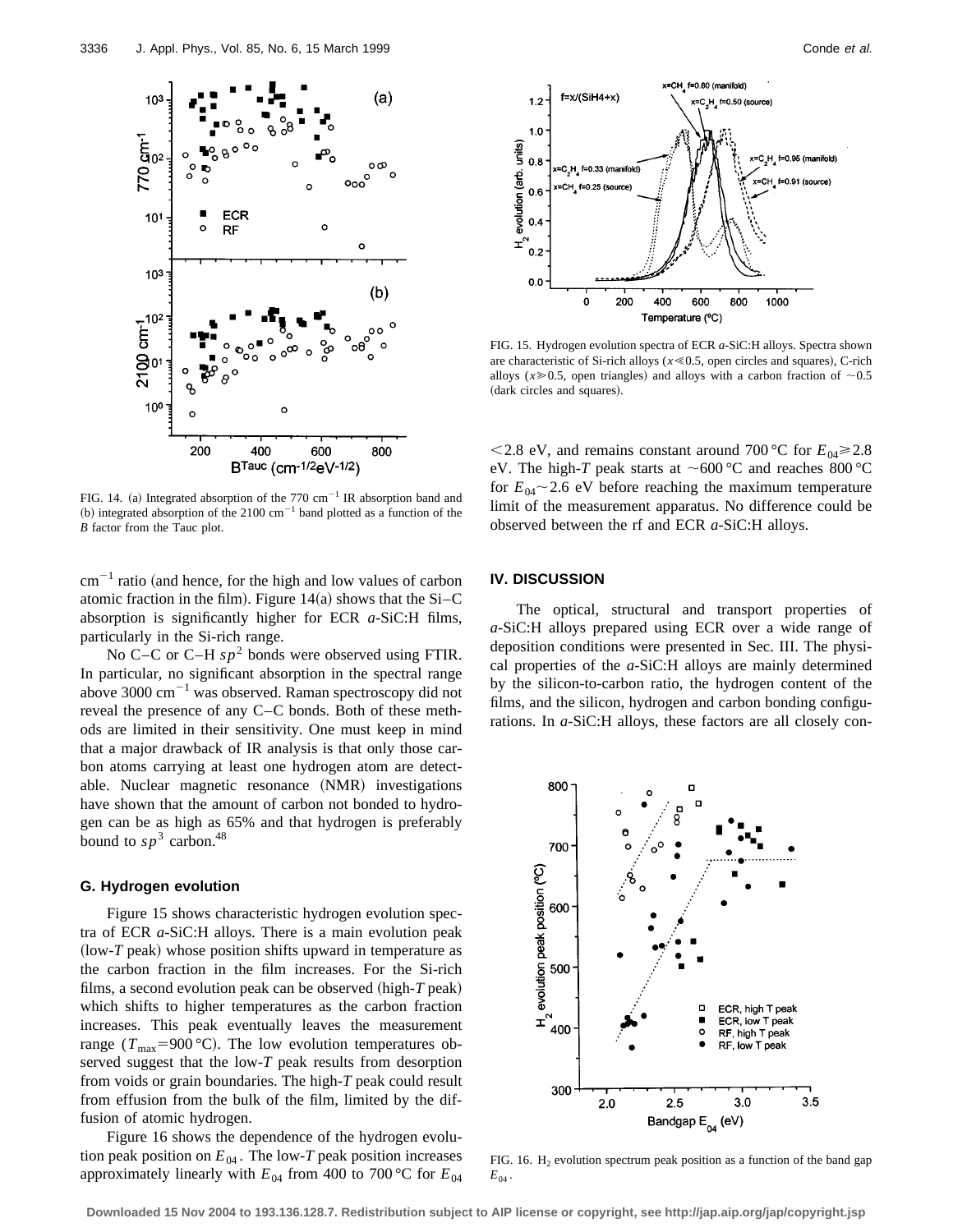

FIG. 14. (a) Integrated absorption of the 770  $cm^{-1}$  IR absorption band and (b) integrated absorption of the 2100  $cm^{-1}$  band plotted as a function of the *B* factor from the Tauc plot.

 $cm^{-1}$  ratio (and hence, for the high and low values of carbon atomic fraction in the film). Figure 14 $(a)$  shows that the Si–C absorption is significantly higher for ECR *a*-SiC:H films, particularly in the Si-rich range.

No C–C or C–H  $sp^2$  bonds were observed using FTIR. In particular, no significant absorption in the spectral range above 3000  $\text{cm}^{-1}$  was observed. Raman spectroscopy did not reveal the presence of any C–C bonds. Both of these methods are limited in their sensitivity. One must keep in mind that a major drawback of IR analysis is that only those carbon atoms carrying at least one hydrogen atom are detectable. Nuclear magnetic resonance (NMR) investigations have shown that the amount of carbon not bonded to hydrogen can be as high as 65% and that hydrogen is preferably bound to  $sp^3$  carbon.<sup>48</sup>

#### **G. Hydrogen evolution**

Figure 15 shows characteristic hydrogen evolution spectra of ECR *a*-SiC:H alloys. There is a main evolution peak  $(low-T$  peak) whose position shifts upward in temperature as the carbon fraction in the film increases. For the Si-rich films, a second evolution peak can be observed  $(high-T peak)$ which shifts to higher temperatures as the carbon fraction increases. This peak eventually leaves the measurement range ( $T_{\text{max}}$ =900 °C). The low evolution temperatures observed suggest that the low-*T* peak results from desorption from voids or grain boundaries. The high-*T* peak could result from effusion from the bulk of the film, limited by the diffusion of atomic hydrogen.

Figure 16 shows the dependence of the hydrogen evolution peak position on  $E_{04}$ . The low-*T* peak position increases approximately linearly with  $E_{04}$  from 400 to 700 °C for  $E_{04}$ 



FIG. 15. Hydrogen evolution spectra of ECR *a*-SiC:H alloys. Spectra shown are characteristic of Si-rich alloys  $(x \le 0.5$ , open circles and squares), C-rich alloys ( $x \ge 0.5$ , open triangles) and alloys with a carbon fraction of  $\sim 0.5$ (dark circles and squares).

 $\leq$  2.8 eV, and remains constant around 700 °C for  $E_{0.4}$  $\geq$  2.8 eV. The high-*T* peak starts at  $\sim$  600 °C and reaches 800 °C for  $E_{04}$  ~ 2.6 eV before reaching the maximum temperature limit of the measurement apparatus. No difference could be observed between the rf and ECR *a*-SiC:H alloys.

### **IV. DISCUSSION**

The optical, structural and transport properties of *a*-SiC:H alloys prepared using ECR over a wide range of deposition conditions were presented in Sec. III. The physical properties of the *a*-SiC:H alloys are mainly determined by the silicon-to-carbon ratio, the hydrogen content of the films, and the silicon, hydrogen and carbon bonding configurations. In *a*-SiC:H alloys, these factors are all closely con-



FIG. 16.  $H_2$  evolution spectrum peak position as a function of the band gap  $E_{04}$ .

**Downloaded 15 Nov 2004 to 193.136.128.7. Redistribution subject to AIP license or copyright, see http://jap.aip.org/jap/copyright.jsp**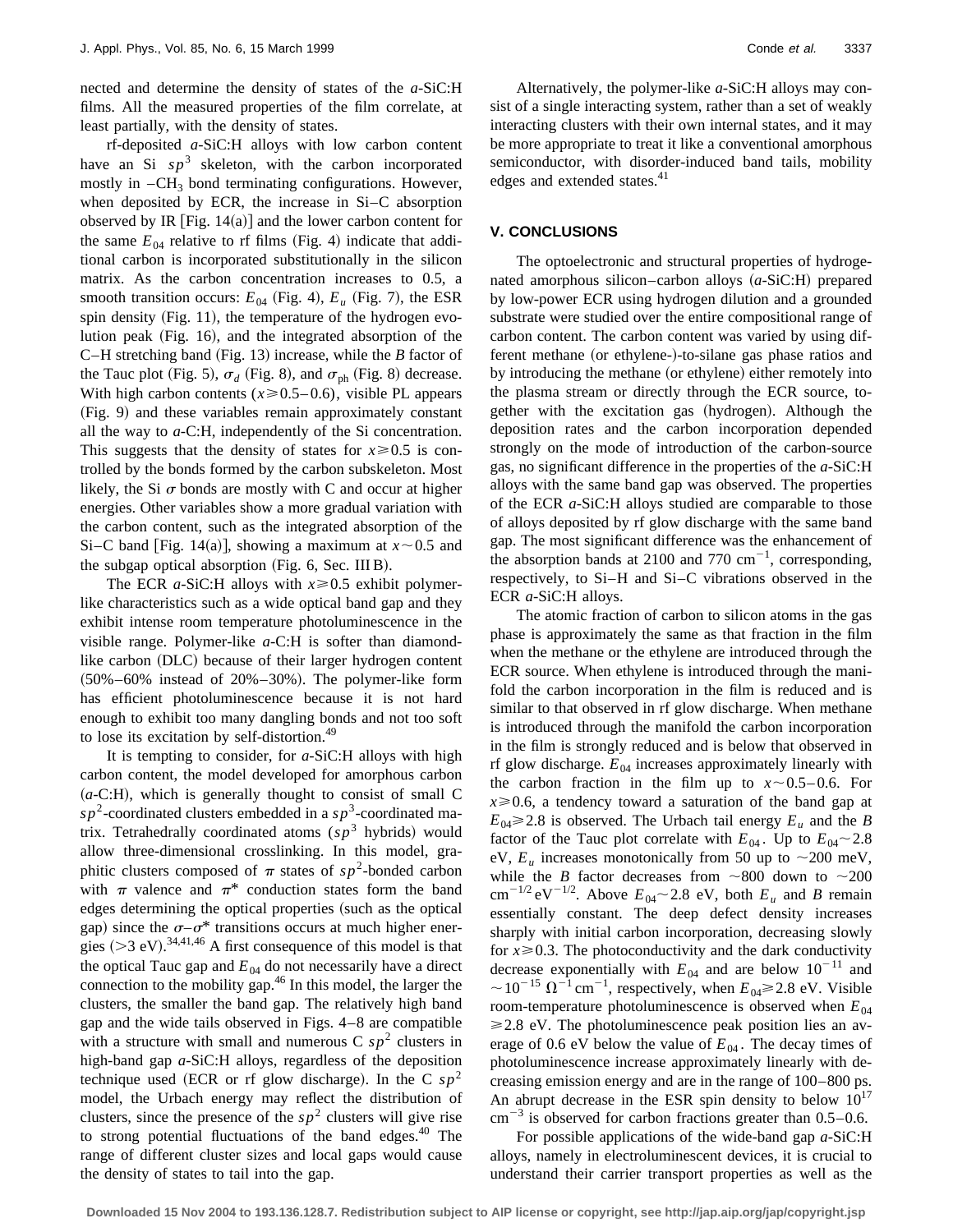nected and determine the density of states of the *a*-SiC:H films. All the measured properties of the film correlate, at least partially, with the density of states.

rf-deposited *a*-SiC:H alloys with low carbon content have an Si  $sp<sup>3</sup>$  skeleton, with the carbon incorporated mostly in  $-CH_3$  bond terminating configurations. However, when deposited by ECR, the increase in Si–C absorption observed by IR [Fig.  $14(a)$ ] and the lower carbon content for the same  $E_{04}$  relative to rf films (Fig. 4) indicate that additional carbon is incorporated substitutionally in the silicon matrix. As the carbon concentration increases to 0.5, a smooth transition occurs:  $E_{04}$  (Fig. 4),  $E_u$  (Fig. 7), the ESR spin density  $(Fig. 11)$ , the temperature of the hydrogen evolution peak  $(Fig. 16)$ , and the integrated absorption of the C–H stretching band (Fig. 13) increase, while the  $B$  factor of the Tauc plot (Fig. 5),  $\sigma_d$  (Fig. 8), and  $\sigma_{ph}$  (Fig. 8) decrease. With high carbon contents  $(x \ge 0.5 - 0.6)$ , visible PL appears (Fig. 9) and these variables remain approximately constant all the way to *a*-C:H, independently of the Si concentration. This suggests that the density of states for  $x \ge 0.5$  is controlled by the bonds formed by the carbon subskeleton. Most likely, the Si  $\sigma$  bonds are mostly with C and occur at higher energies. Other variables show a more gradual variation with the carbon content, such as the integrated absorption of the Si–C band [Fig. 14(a)], showing a maximum at  $x \sim 0.5$  and the subgap optical absorption (Fig.  $6$ , Sec. III B).

The ECR  $a$ -SiC:H alloys with  $x \ge 0.5$  exhibit polymerlike characteristics such as a wide optical band gap and they exhibit intense room temperature photoluminescence in the visible range. Polymer-like *a*-C:H is softer than diamondlike carbon (DLC) because of their larger hydrogen content  $(50\% - 60\%$  instead of  $20\% - 30\%$ ). The polymer-like form has efficient photoluminescence because it is not hard enough to exhibit too many dangling bonds and not too soft to lose its excitation by self-distortion.<sup>49</sup>

It is tempting to consider, for *a*-SiC:H alloys with high carbon content, the model developed for amorphous carbon  $(a-C:H)$ , which is generally thought to consist of small C  $s p<sup>2</sup>$ -coordinated clusters embedded in a  $s p<sup>3</sup>$ -coordinated matrix. Tetrahedrally coordinated atoms  $(sp<sup>3</sup>$  hybrids) would allow three-dimensional crosslinking. In this model, graphitic clusters composed of  $\pi$  states of  $sp^2$ -bonded carbon with  $\pi$  valence and  $\pi^*$  conduction states form the band edges determining the optical properties (such as the optical gap) since the  $\sigma-\sigma^*$  transitions occurs at much higher energies  $(>3$  eV).<sup>34,41,46</sup> A first consequence of this model is that the optical Tauc gap and  $E_{04}$  do not necessarily have a direct connection to the mobility gap.46 In this model, the larger the clusters, the smaller the band gap. The relatively high band gap and the wide tails observed in Figs. 4–8 are compatible with a structure with small and numerous  $C$  *sp*<sup>2</sup> clusters in high-band gap *a*-SiC:H alloys, regardless of the deposition technique used (ECR or rf glow discharge). In the C  $sp^2$ model, the Urbach energy may reflect the distribution of clusters, since the presence of the  $sp<sup>2</sup>$  clusters will give rise to strong potential fluctuations of the band edges. $40$  The range of different cluster sizes and local gaps would cause the density of states to tail into the gap.

Alternatively, the polymer-like *a*-SiC:H alloys may consist of a single interacting system, rather than a set of weakly interacting clusters with their own internal states, and it may be more appropriate to treat it like a conventional amorphous semiconductor, with disorder-induced band tails, mobility edges and extended states.<sup>41</sup>

### **V. CONCLUSIONS**

The optoelectronic and structural properties of hydrogenated amorphous silicon–carbon alloys (*a*-SiC:H) prepared by low-power ECR using hydrogen dilution and a grounded substrate were studied over the entire compositional range of carbon content. The carbon content was varied by using different methane (or ethylene-)-to-silane gas phase ratios and by introducing the methane (or ethylene) either remotely into the plasma stream or directly through the ECR source, together with the excitation gas (hydrogen). Although the deposition rates and the carbon incorporation depended strongly on the mode of introduction of the carbon-source gas, no significant difference in the properties of the *a*-SiC:H alloys with the same band gap was observed. The properties of the ECR *a*-SiC:H alloys studied are comparable to those of alloys deposited by rf glow discharge with the same band gap. The most significant difference was the enhancement of the absorption bands at 2100 and 770  $\text{cm}^{-1}$ , corresponding, respectively, to Si–H and Si–C vibrations observed in the ECR *a*-SiC:H alloys.

The atomic fraction of carbon to silicon atoms in the gas phase is approximately the same as that fraction in the film when the methane or the ethylene are introduced through the ECR source. When ethylene is introduced through the manifold the carbon incorporation in the film is reduced and is similar to that observed in rf glow discharge. When methane is introduced through the manifold the carbon incorporation in the film is strongly reduced and is below that observed in rf glow discharge.  $E_{04}$  increases approximately linearly with the carbon fraction in the film up to  $x \sim 0.5-0.6$ . For  $x \ge 0.6$ , a tendency toward a saturation of the band gap at  $E_{04} \geq 2.8$  is observed. The Urbach tail energy  $E_u$  and the *B* factor of the Tauc plot correlate with  $E_{04}$ . Up to  $E_{04} \sim 2.8$ eV,  $E_u$  increases monotonically from 50 up to  $\sim$ 200 meV, while the *B* factor decreases from  $\sim 800$  down to  $\sim 200$  $cm^{-1/2} eV^{-1/2}$ . Above  $E_{04}$  ~ 2.8 eV, both  $E_u$  and *B* remain essentially constant. The deep defect density increases sharply with initial carbon incorporation, decreasing slowly for  $x \ge 0.3$ . The photoconductivity and the dark conductivity decrease exponentially with  $E_{04}$  and are below 10<sup>-11</sup> and  $\sim$ 10<sup>-15</sup>  $\Omega$ <sup>-1</sup> cm<sup>-1</sup>, respectively, when  $E_{04}$   $\geq$  2.8 eV. Visible room-temperature photoluminescence is observed when  $E_{04}$  $\geq$  2.8 eV. The photoluminescence peak position lies an average of 0.6 eV below the value of  $E_{04}$ . The decay times of photoluminescence increase approximately linearly with decreasing emission energy and are in the range of 100–800 ps. An abrupt decrease in the ESR spin density to below  $10^{17}$  $\text{cm}^{-3}$  is observed for carbon fractions greater than 0.5–0.6.

For possible applications of the wide-band gap *a*-SiC:H alloys, namely in electroluminescent devices, it is crucial to understand their carrier transport properties as well as the